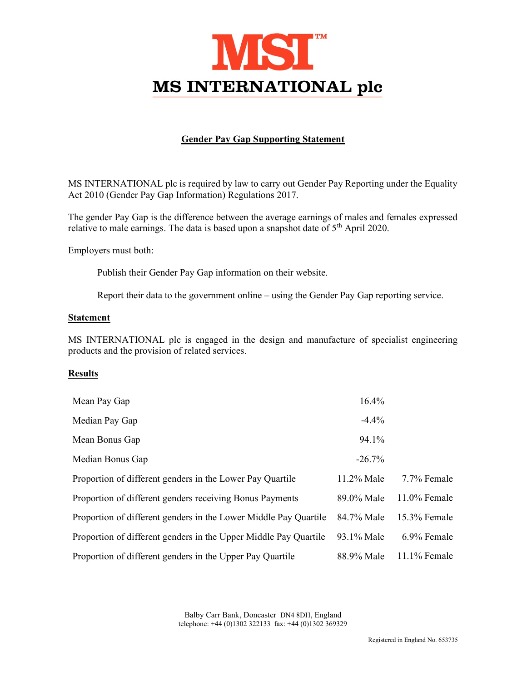

## Gender Pay Gap Supporting Statement

MS INTERNATIONAL plc is required by law to carry out Gender Pay Reporting under the Equality Act 2010 (Gender Pay Gap Information) Regulations 2017.

The gender Pay Gap is the difference between the average earnings of males and females expressed relative to male earnings. The data is based upon a snapshot date of 5<sup>th</sup> April 2020.

Employers must both:

Publish their Gender Pay Gap information on their website.

Report their data to the government online – using the Gender Pay Gap reporting service.

## Statement

MS INTERNATIONAL plc is engaged in the design and manufacture of specialist engineering products and the provision of related services.

## **Results**

| Mean Pay Gap                                                     | 16.4%         |                 |
|------------------------------------------------------------------|---------------|-----------------|
| Median Pay Gap                                                   | $-4.4\%$      |                 |
| Mean Bonus Gap                                                   | 94.1%         |                 |
| Median Bonus Gap                                                 | $-26.7%$      |                 |
| Proportion of different genders in the Lower Pay Quartile        | $11.2\%$ Male | 7.7% Female     |
| Proportion of different genders receiving Bonus Payments         | 89.0% Male    | $11.0\%$ Female |
| Proportion of different genders in the Lower Middle Pay Quartile | 84.7% Male    | $15.3\%$ Female |
| Proportion of different genders in the Upper Middle Pay Quartile | 93.1% Male    | 6.9% Female     |
| Proportion of different genders in the Upper Pay Quartile        | 88.9% Male    | $11.1\%$ Female |

Balby Carr Bank, Doncaster DN4 8DH, England telephone: +44 (0)1302 322133 fax: +44 (0)1302 369329